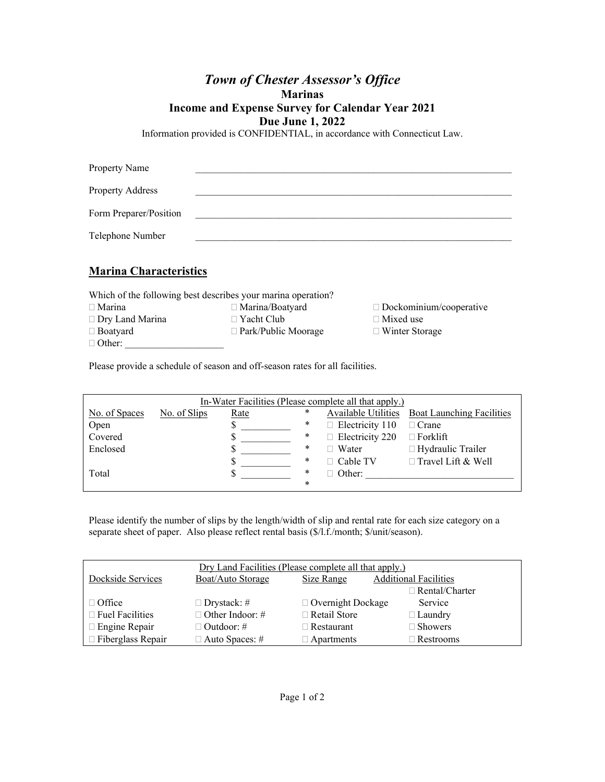# *Town of Chester Assessor's Office*  **Marinas**

#### **Income and Expense Survey for Calendar Year 2021**

**Due June 1, 2022** 

Information provided is CONFIDENTIAL, in accordance with Connecticut Law.

| Property Name          |  |  |
|------------------------|--|--|
| Property Address       |  |  |
| Form Preparer/Position |  |  |
| Telephone Number       |  |  |
| <b>17 · 21 · · ·</b>   |  |  |

## **Marina Characteristics**

| Which of the following best describes your marina operation? |                            |                                |  |  |
|--------------------------------------------------------------|----------------------------|--------------------------------|--|--|
| $\Box$ Marina                                                | $\Box$ Marina/Boatyard     | $\Box$ Dockominium/cooperative |  |  |
| $\Box$ Dry Land Marina                                       | $\Box$ Yacht Club          | $\Box$ Mixed use               |  |  |
| $\Box$ Boatyard                                              | $\Box$ Park/Public Moorage | $\Box$ Winter Storage          |  |  |
| $\Box$ Other:                                                |                            |                                |  |  |

Please provide a schedule of season and off-season rates for all facilities.

| In-Water Facilities (Please complete all that apply.) |              |      |  |   |                        |                                               |
|-------------------------------------------------------|--------------|------|--|---|------------------------|-----------------------------------------------|
| No. of Spaces                                         | No. of Slips | Rate |  | * |                        | Available Utilities Boat Launching Facilities |
| Open                                                  |              |      |  | ∗ | $\Box$ Electricity 110 | $\Box$ Crane                                  |
| Covered                                               |              |      |  | * | $\Box$ Electricity 220 | $\Box$ Forklift                               |
| Enclosed                                              |              |      |  | ∗ | Water                  | $\Box$ Hydraulic Trailer                      |
|                                                       |              |      |  | ∗ | $\Box$ Cable TV        | $\Box$ Travel Lift & Well                     |
| Total                                                 |              |      |  | ∗ | Other:                 |                                               |
|                                                       |              |      |  | * |                        |                                               |

Please identify the number of slips by the length/width of slip and rental rate for each size category on a separate sheet of paper. Also please reflect rental basis (\$/l.f./month; \$/unit/season).

| Dry Land Facilities (Please complete all that apply.) |                        |                          |                              |  |
|-------------------------------------------------------|------------------------|--------------------------|------------------------------|--|
| Dockside Services                                     | Boat/Auto Storage      | Size Range               | <b>Additional Facilities</b> |  |
|                                                       |                        |                          | $\Box$ Rental/Charter        |  |
| $\Box$ Office                                         | $\Box$ Drystack: #     | $\Box$ Overnight Dockage | Service                      |  |
| $\Box$ Fuel Facilities                                | $\Box$ Other Indoor: # | $\Box$ Retail Store      | $\Box$ Laundry               |  |
| □ Engine Repair                                       | □ Outdoor: #           | $\Box$ Restaurant        | $\Box$ Showers               |  |
| $\Box$ Fiberglass Repair                              | $\Box$ Auto Spaces: #  | $\Box$ Apartments        | $\Box$ Restrooms             |  |